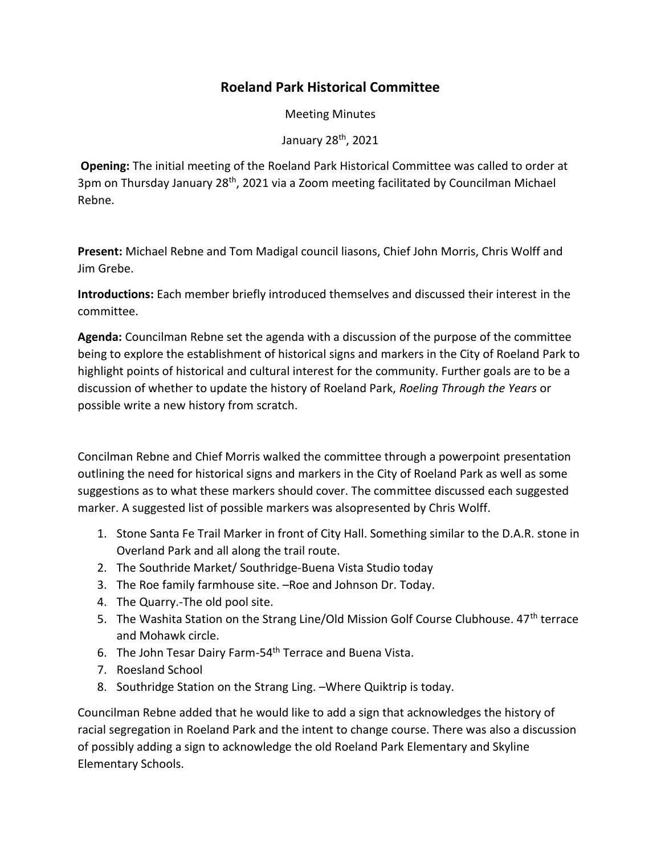## **Roeland Park Historical Committee**

Meeting Minutes

January 28th, 2021

**Opening:** The initial meeting of the Roeland Park Historical Committee was called to order at 3pm on Thursday January 28<sup>th</sup>, 2021 via a Zoom meeting facilitated by Councilman Michael Rebne.

**Present:** Michael Rebne and Tom Madigal council liasons, Chief John Morris, Chris Wolff and Jim Grebe.

**Introductions:** Each member briefly introduced themselves and discussed their interest in the committee.

**Agenda:** Councilman Rebne set the agenda with a discussion of the purpose of the committee being to explore the establishment of historical signs and markers in the City of Roeland Park to highlight points of historical and cultural interest for the community. Further goals are to be a discussion of whether to update the history of Roeland Park, *Roeling Through the Years* or possible write a new history from scratch.

Concilman Rebne and Chief Morris walked the committee through a powerpoint presentation outlining the need for historical signs and markers in the City of Roeland Park as well as some suggestions as to what these markers should cover. The committee discussed each suggested marker. A suggested list of possible markers was alsopresented by Chris Wolff.

- 1. Stone Santa Fe Trail Marker in front of City Hall. Something similar to the D.A.R. stone in Overland Park and all along the trail route.
- 2. The Southride Market/ Southridge-Buena Vista Studio today
- 3. The Roe family farmhouse site. –Roe and Johnson Dr. Today.
- 4. The Quarry.-The old pool site.
- 5. The Washita Station on the Strang Line/Old Mission Golf Course Clubhouse. 47<sup>th</sup> terrace and Mohawk circle.
- 6. The John Tesar Dairy Farm-54<sup>th</sup> Terrace and Buena Vista.
- 7. Roesland School
- 8. Southridge Station on the Strang Ling. –Where Quiktrip is today.

Councilman Rebne added that he would like to add a sign that acknowledges the history of racial segregation in Roeland Park and the intent to change course. There was also a discussion of possibly adding a sign to acknowledge the old Roeland Park Elementary and Skyline Elementary Schools.